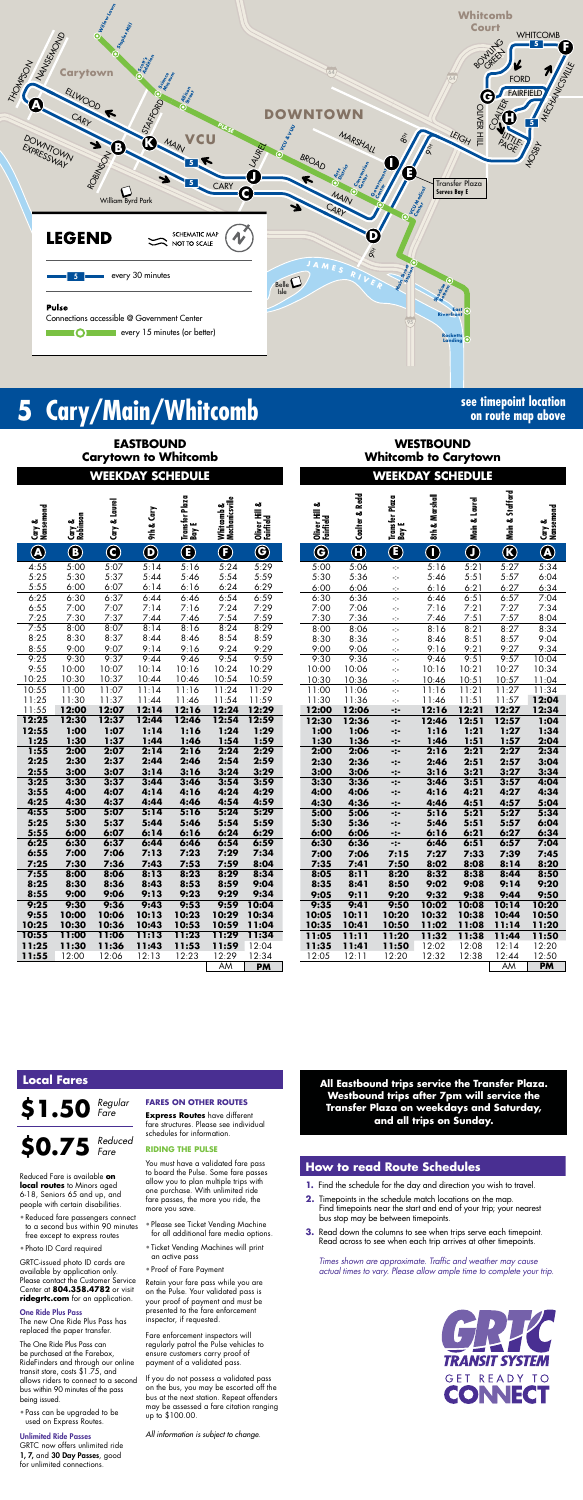

# **5 Cary/Main/Whitcomb see timepoint location**

**on route map above**

**WESTBOUND Whitcomb to Carytown**

**EASTBOUND**

**Carytown to Whitcomb WEEKDAY SCHEDULE WEEKDAY SCHEDULE**

| Cary &<br>Nansemond | Cary &<br>Robinson | Cary & Laurel           | 9th & Cary                   | Transfer Plaza<br>  Bay E | Whitcomb &<br>Mechanicsville | ಹ<br>Oliver Hill<br>Fairfield | ಹ<br>Oliver Hill (<br>Fairfield | <b>Coalter &amp; Redd</b> | Plaza<br>Transfer  <br>Bay E | الہ م <sup>یا</sup><br>:<br>$8 + 2 M2$ |
|---------------------|--------------------|-------------------------|------------------------------|---------------------------|------------------------------|-------------------------------|---------------------------------|---------------------------|------------------------------|----------------------------------------|
| $\bigcircledR$      | $^\circledR$       | $\overline{\mathbf{C}}$ | $\overline{\mathbf{\Theta}}$ | $\bf G$                   | $\bigoplus$                  | O                             | $\bigcirc$                      | $\overline{\bm{\theta}}$  | $\bigcirc$                   | $\overline{\mathbb{Q}}$                |
| 4:55                | 5:00               | 5:07                    | 5:14                         | 3:16                      | 5:24                         | 5:29                          | 5:00                            | 5:06                      | ÷                            | $\overline{5}$                         |
| 5:25                | 5:30               | 5:37                    | 5:44                         | 5:46                      | 5:54                         | 5:59                          | 5:30                            | 5:36                      | ÷                            | 5:                                     |
| 5:55                | 6:00               | 6:07                    | 6:14                         | 6:16                      | 6:24                         | 6:29                          | 6:00                            | 6:06                      | ÷                            | <u>6:</u>                              |
| 6:25                | 6:30               | 6:37                    | 6:44                         | 6:46                      | 6:54                         | 6:59                          | 6:30                            | 6:36                      | ÷.                           | 6:                                     |
| 6:55                | 7:00               | 7:07                    | 7:14                         | 7:16                      | 7:24                         | 7:29                          | 7:00                            | 7:06                      | ÷.                           | 7:                                     |
| 7:25                | 7:30               | 7:37                    | 7:44                         | 7:46                      | 7:54                         | 7:59                          | 7:30                            | 7:36                      | ÷                            | $\overline{z}$                         |
| 7:55<br>8:25        | 8:00<br>8:30       | 8:07<br>8:37            | 8:14<br>8:44                 | 8:16<br>8:46              | 8:24<br>8:54                 | 8:29<br>8:59                  | 8:00<br>8:30                    | 8:06<br>8:36              | $\frac{1}{2}$                | 8:<br>8:                               |
| 8:55                | 9:00               | 9:07                    | 9:14                         | 9:16                      | 9:24                         | 9:29                          | 9:00                            | 9:06                      | ÷,<br>÷                      | 9:                                     |
| 9:25                | 9:30               | 9:37                    | 9:44                         | 9:46                      | 9:54                         | 9:59                          | 9:30                            | 9:36                      | $\frac{1}{2}$                | 9:                                     |
| 9:55                | 10:00              | 10:07                   | 10:14                        | 10:16                     | 10:24                        | 10:29                         | 10:00                           | 10:06                     | ÷                            | 10:                                    |
| 10:25               | 10:30              | 10:37                   | 10:44                        | 10:46                     | 10:54                        | 10:59                         | 10:30                           | 10:36                     | ÷                            | 10:                                    |
| 10:55               | 11:00              | 11:07                   | 11:14                        | 11:16                     | 11:24                        | 11:29                         | 11:00                           | 11:06                     | $\mathcal{L}_{\mathcal{C}}$  | 11:                                    |
| 11:25               | 11:30              | 11:37                   | 11:44                        | 11:46                     | 11:54                        | 11:59                         | 11:30                           | 11:36                     | ÷                            | 11:                                    |
| 11:55               | 12:00              | 12:07                   | 12:14                        | 12:16                     | 12:24                        | 12:29                         | 12:00                           | 12:06                     | -:-                          | 12:                                    |
| 12:25               | 12:30              | 12:37                   | 12:44                        | 12:46                     | 12:54                        | 12:59                         | 12:30                           | 12:36                     | -:-                          | 12:                                    |
| 12:55               | 1:00               | 1:07                    | 1:14                         | 1:16                      | 1:24                         | 1:29                          | 1:00                            | 1:06                      | -:-                          | 1:                                     |
| 1:25                | 1:30               | 1:37                    | 1:44                         | 1:46                      | 1:54                         | 1:59                          | 1:30                            | 1:36                      | -:-                          | $\mathbf{I}$                           |
| 1:55                | 2:00               | 2:07                    | 2:14                         | 2:16                      | 2:24                         | 2:29                          | 2:00                            | 2:06                      | -:-                          | 2:                                     |
| 2:25<br>2:55        | 2:30<br>3:00       | 2:37<br>3:07            | 2:44<br>3:14                 | 2:46<br>3:16              | 2:54<br>3:24                 | 2:59<br>3:29                  | 2:30                            | 2:36                      | -:-                          | 2:                                     |
| 3:25                | 3:30               | 3:37                    | 3:44                         | 3:46                      | 3:54                         | 3:59                          | 3:00<br>3:30                    | 3:06<br>3:36              | -:-                          | 3:<br>3:                               |
| 3:55                | 4:00               | 4:07                    | 4:14                         | 4:16                      | 4:24                         | 4:29                          | 4:00                            | 4:06                      | -:-<br>-:-                   | 4;                                     |
| 4:25                | 4:30               | 4:37                    | 4:44                         | 4:46                      | 4:54                         | 4:59                          | 4:30                            | 4:36                      | -:-                          | 4;                                     |
| 4:55                | 5:00               | 5:07                    | 5:14                         | 5:16                      | 5:24                         | 5:29                          | 5:00                            | 5:06                      | -:-                          | 5:                                     |
| 5:25                | 5:30               | 5:37                    | 5:44                         | 5:46                      | 5:54                         | 5:59                          | 5:30                            | 5:36                      | -:-                          | 5:                                     |
| 5:55                | 6:00               | 6:07                    | 6:14                         | 6:16                      | 6:24                         | 6:29                          | 6:00                            | 6:06                      | -:-                          | 6:                                     |
| 6:25                | 6:30               | 6:37                    | 6:44                         | 6:46                      | 6:54                         | 6:59                          | 6:30                            | 6:36                      | -:-                          | 6                                      |
| 6:55                | 7:00               | 7:06                    | 7:13                         | 7:23                      | 7:29                         | 7:34                          | 7:00                            | 7:06                      | 7:15                         | 7:                                     |
| 7:25                | 7:30               | 7:36                    | 7:43                         | 7:53                      | 7:59                         | 8:04                          | 7:35                            | 7:41                      | 7:50                         | 8:                                     |
| 7:55                | 8:00               | 8:06                    | 8:13                         | 8:23                      | 8:29                         | 8:34                          | 8:05                            | 8:11                      | 8:20                         | 8:                                     |
| 8:25                | 8:30               | 8:36                    | 8:43                         | 8:53                      | 8:59                         | 9:04                          | 8:35                            | 8:41                      | 8:50                         | 9:                                     |
| 8:55<br>9:25        | 9:00<br>9:30       | 9:06<br>9:36            | 9:13<br>9:43                 | 9:23<br>9:53              | 9:29<br>9:59                 | 9:34<br>10:04                 | 9:05                            | 9:11<br>9:41              | 9:20                         | 9:                                     |
| 9:55                | 10:00              | 10:06                   | 10:13                        | 10:23                     | 10:29                        | 10:34                         | 9:35<br>10:05                   | 10:11                     | 9:50<br>10:20                | 10:<br>10:                             |
| 10:25               | 10:30              | 10:36                   | 10:43                        | 10:53                     | 10:59                        | 11:04                         | 10:35                           | 10:41                     | 10:50                        | 11:                                    |
| 10:55               | 11:00              | 11:06                   | 11:13                        | 11:23                     | 11:29                        | 11:34                         | 11:05                           | 11:11                     | 11:20                        | 11:                                    |
| 11:25               | 11:30              | 11:36                   | 11:43                        | 11:53                     | 11:59                        | 12:04                         | 11:35                           | 11:41                     | 11:50                        | 12:                                    |
| 11:55               | 12:00              | 12:06                   | 12:13                        | 12:23                     | 12:29                        | 12:34                         | 12:05                           | 12:11                     | 12:20                        | <u> 12:</u>                            |
|                     |                    |                         |                              |                           | AM                           | <b>PM</b>                     |                                 |                           |                              |                                        |

*Times shown are approximate. Traffic and weather may cause actual times to vary. Please allow ample time to complete your trip.*



|                         |                    | WEENDAT                 |                                          | SUNEDOLE                  |                                    |                               |                               |                           | <u> AEENZAL</u>                  |                             | <b>SCHEDOLE</b> |                 |                     |
|-------------------------|--------------------|-------------------------|------------------------------------------|---------------------------|------------------------------------|-------------------------------|-------------------------------|---------------------------|----------------------------------|-----------------------------|-----------------|-----------------|---------------------|
| vary &<br>Nansemond     | Cary &<br>Robinson | Cary & Laurel           | & Cary<br>$\ddot{\boldsymbol{\epsilon}}$ | Transfer Plaza<br>  Bay E | Whitcomb &<br>  Mechanicsville<br> | ಹ<br>Oliver Hill<br>Fairfield | ಹ<br>Oliver Hill<br>Fairfield | <b>Coalter &amp; Redd</b> | Transfer Plaza<br>  Bay E        | & Marshall<br>$\frac{1}{6}$ | Main & Laurel   | Main & Stafford | Cary &<br>Nansemond |
| $\overline{\mathbf{A}}$ | $\bigcirc$         | $\overline{\mathbf{C}}$ | $\overline{\mathbf{C}}$                  | $\bf \bm \Theta$          | $\bigcirc$                         | $\bigcirc$                    | $\bigcirc$                    | $\bigcirc$                | $\bigcirc$                       | $\overline{\mathbb{O}}$     | $\bigcirc$      | $\bigcirc$      | $\bigcircledA$      |
| :55                     | 5:00               | 5:07                    | 5:14                                     | 5:16                      | 5:24                               | 5:29                          | 5:00                          | 5:06                      | $\mathcal{L}_{\mathcal{P}}$      | 5:16                        | 5:21            | 5:27            | 5:34                |
| :25                     | 5:30               | 5:37                    | 5:44                                     | 5:46                      | 5:54                               | 5:59                          | 5:30                          | 5:36                      | ÷                                | 5:46                        | 5:51            | 5:57            | 6:04                |
| :55                     | 6:00               | 6:07                    | 6:14                                     | 6:16                      | 6:24                               | 6:29                          | 6:00                          | 6:06                      | еjн                              | 6:16                        | 6:21            | 6:27            | 6:34                |
| :25                     | 6:30               | 6:37                    | 6:44                                     | 6:46                      | 6:54                               | 6:59                          | 6:30                          | 6:36                      | $\mathbb{H}^2$                   | 6:46                        | 6:51            | 6:57            | 7:04                |
| :55                     | 7:00               | 7:07                    | 7:14                                     | 7:16                      | 7:24                               | 7:29                          | 7:00                          | 7:06                      | ÷                                | 7:16                        | 7:21            | 7:27            | 7:34                |
| :25                     | 7:30               | 7:37                    | 7:44                                     | 7:46                      | 7:54                               | 7:59                          | 7:30                          | 7:36                      | ÷                                | 7:46                        | 7:51            | 7:57            | 8:04                |
| :55                     | 8:00               | 8:07                    | 8:14                                     | 8:16                      | 8:24                               | 8:29                          | 8:00                          | 8:06                      | ÷                                | 8:16                        | 8:21            | 8:27            | 8:34                |
| :25                     | 8:30               | 8:37                    | 8:44                                     | 8:46                      | 8:54                               | 8:59                          | 8:30                          | 8:36                      | ÷                                | 8:46                        | 8:51            | 8:57            | 9:04                |
| :55<br>:25              | 9:00<br>9:30       | 9:07<br>9:37            | 9:14<br>9:44                             | 9:16<br>9:46              | 9:24<br>9:54                       | 9:29<br>9:59                  | 9:00<br>9:30                  | 9:06<br>9:36              | ÷                                | 9:16                        | 9:21<br>9:51    | 9:27            | 9:34                |
| :55                     | 10:00              | 10:07                   | 10:14                                    | 10:16                     | 10:24                              | 10:29                         | 10:00                         | 10:06                     | ÷                                | 9:46<br>10:16               | 10:21           | 9:57<br>10:27   | 10:04<br>10:34      |
| :25                     | 10:30              | 10:37                   | 10:44                                    | 10:46                     | 10:54                              | 10:59                         | 10:30                         | 10:36                     | ÷<br>$\mathcal{L}_{\mathcal{C}}$ | 10:46                       | 10:51           | 10:57           | 11:04               |
| :55                     | 11:00              | 11:07                   | 11:14                                    | 11:16                     | 11:24                              | 11:29                         | 11:00                         | 11:06                     | ÷                                | 11:16                       | 11:21           | 11:27           | 11:34               |
| :25                     | 11:30              | 11:37                   | 11:44                                    | 11:46                     | 11:54                              | 11:59                         | 11:30                         | 11:36                     | ÷                                | 11:46                       | 11:51           | 11:57           | 12:04               |
| :55                     | 12:00              | 12:07                   | 12:14                                    | 12:16                     | 12:24                              | 12:29                         | 12:00                         | 12:06                     | -:-                              | 12:16                       | 12:21           | 12:27           | 12:34               |
| :25                     | 12:30              | 12:37                   | 12:44                                    | 12:46                     | 12:54                              | 12:59                         | 12:30                         | 12:36                     | -:-                              | 12:46                       | 12:51           | 12:57           | 1:04                |
| :55                     | 1:00               | 1:07                    | 1:14                                     | 1:16                      | 1:24                               | 1:29                          | 1:00                          | 1:06                      | -:-                              | 1:16                        | 1:21            | 1:27            | 1:34                |
| :25                     | 1:30               | 1:37                    | 1:44                                     | 1:46                      | 1:54                               | 1:59                          | 1:30                          | 1:36                      | -:-                              | 1:46                        | 1:51            | 1:57            | 2:04                |
| :55                     | 2:00               | 2:07                    | 2:14                                     | 2:16                      | 2:24                               | 2:29                          | 2:00                          | 2:06                      | -:-                              | 2:16                        | 2:21            | 2:27            | 2:34                |
| :25                     | 2:30               | 2:37                    | 2:44                                     | 2:46                      | 2:54                               | 2:59                          | 2:30                          | 2:36                      | -:-                              | 2:46                        | 2:51            | 2:57            | 3:04                |
| :55                     | 3:00               | 3:07                    | 3:14                                     | 3:16                      | 3:24                               | 3:29                          | 3:00                          | 3:06                      | $-2-$                            | 3:16                        | 3:21            | 3:27            | 3:34                |
| $\overline{.25}$        | 3:30               | 3:37                    | 3:44                                     | 3:46                      | 3:54                               | 3:59                          | 3:30                          | 3:36                      | $-2-$                            | 3:46                        | 3:51            | 3:57            | 4:04                |
| :55                     | 4:00               | 4:07                    | 4:14                                     | 4:16                      | 4:24                               | 4:29                          | 4:00                          | 4:06                      | $-2-$                            | 4:16                        | 4:21            | 4:27            | 4:34                |
| :25                     | 4:30               | 4:37                    | 4:44                                     | 4:46                      | 4:54                               | 4:59                          | 4:30                          | 4:36                      | $-2-$                            | 4:46                        | 4:51            | 4:57            | 5:04                |
| :55                     | 5:00               | 5:07                    | 5:14                                     | 5:16                      | 5:24                               | 5:29                          | 5:00                          | 5:06                      | $-2-$                            | 5:16                        | 5:21            | 5:27            | 5:34                |
| :25                     | 5:30               | 5:37                    | 5:44                                     | 5:46                      | 5:54                               | 5:59<br>6:29                  | 5:30                          | 5:36                      | -:-                              | 5:46                        | 5:51            | 5:57            | 6:04                |
| :55<br>:25              | 6:00<br>6:30       | 6:07<br>6:37            | 6:14                                     | 6:16                      | 6:24<br>6:54                       | 6:59                          | 6:00<br>6:30                  | 6:06<br>6:36              | $-2-$                            | 6:16                        | 6:21<br>6:51    | 6:27<br>6:57    | 6:34<br>7:04        |
| :55                     | 7:00               | 7:06                    | 6:44<br>7:13                             | 6:46<br>7:23              | 7:29                               | 7:34                          | 7:00                          | 7:06                      | $-2-$<br>7:15                    | 6:46<br>7:27                | 7:33            | 7:39            | 7:45                |
| :25                     | 7:30               | 7:36                    | 7:43                                     | 7:53                      | 7:59                               | 8:04                          | 7:35                          | 7:41                      | 7:50                             | 8:02                        | 8:08            | 8:14            | 8:20                |
| :55                     | 8:00               | 8:06                    | 8:13                                     | 8:23                      | 8:29                               | 8:34                          | 8:05                          | 8:11                      | 8:20                             | 8:32                        | 8:38            | 8:44            | 8:50                |
| :25                     | 8:30               | 8:36                    | 8:43                                     | 8:53                      | 8:59                               | 9:04                          | 8:35                          | 8:41                      | 8:50                             | 9:02                        | 9:08            | 9:14            | 9:20                |
| :55                     | 9:00               | 9:06                    | 9:13                                     | 9:23                      | 9:29                               | 9:34                          | 9:05                          | 9:11                      | 9:20                             | 9:32                        | 9:38            | 9:44            | 9:50                |
| : 25                    | 9:30               | 9:36                    | 9:43                                     | 9:53                      | 9:59                               | 10:04                         | 9:35                          | 9:41                      | 9:50                             | 10:02                       | 10:08           | 10:14           | 10:20               |
| :55                     | 10:00              | 10:06                   | 10:13                                    | 10:23                     | 10:29                              | 10:34                         | 10:05                         | 10:11                     | 10:20                            | 10:32                       | 10:38           | 10:44           | 10:50               |
| :25                     | 10:30              | 10:36                   | 10:43                                    | 10:53                     | 10:59                              | 11:04                         | 10:35                         | 10:41                     | 10:50                            | 11:02                       | 11:08           | 11:14           | 11:20               |
| :55                     | 11:00              | 11:06                   | 11:13                                    | 11:23                     | 11:29                              | 11:34                         | 11:05                         | 11:11                     | 11:20                            | 11:32                       | 11:38           | 11:44           | 11:50               |
| :25                     | 11:30              | 11:36                   | 11:43                                    | 11:53                     | 11:59                              | 12:04                         | 11:35                         | 11:41                     | 11:50                            | 12:02                       | 12:08           | 12:14           | 12:20               |
| :55                     | 12:00              | 12:06                   | 12:13                                    | 12:23                     | 12:29                              | 12:34                         | 12:05                         | 12:11                     | 12:20                            | 12:32                       | 12:38           | 12:44           | 12:50               |
|                         |                    |                         |                                          |                           | AM                                 | <b>PM</b>                     |                               |                           |                                  |                             |                 | AΜ              | <b>PM</b>           |

### **How to read Route Schedules**

- **1.** Find the schedule for the day and direction you wish to travel.
- **2.** Timepoints in the schedule match locations on the map. Find timepoints near the start and end of your trip; your nearest bus stop may be between timepoints.
- **3.** Read down the columns to see when trips serve each timepoint. Read across to see when each trip arrives at other timepoints.

### **Local Fares**

**\$1.50** *Regular Fare*

**\$0.75** *Reduced* 

Reduced Fare is available **on local routes** to Minors aged 6-18, Seniors 65 and up, and people with certain disabilities. • Reduced fare passengers connect to a second bus within 90 minutes free except to express routes • Photo ID Card required GRTC-issued photo ID cards are available by application only. Please contact the Customer Service Center at **804.358.4782** or visit **ridegrtc.com** for an application.

One Ride Plus Pass

The new One Ride Plus Pass has replaced the paper transfer. The One Ride Plus Pass can be purchased at the Farebox, RideFinders and through our online transit store, costs \$1.75, and allows riders to connect to a second bus within 90 minutes of the pass

being issued.

• Pass can be upgraded to be used on Express Routes. Unlimited Ride Passes GRTC now offers unlimited ride 1, 7, and 30 Day Passes, good for unlimited connections.

*Fare*

#### **FARES ON OTHER ROUTES**

**Express Routes** have different fare structures. Please see individual schedules for information.

#### **RIDING THE PULSE**

You must have a validated fare pass to board the Pulse. Some fare passes allow you to plan multiple trips with one purchase. With unlimited ride fare passes, the more you ride, the more you save.

- Please see Ticket Vending Machine for all additional fare media options.
- Ticket Vending Machines will print an active pass
- Proof of Fare Payment

Retain your fare pass while you are on the Pulse. Your validated pass is your proof of payment and must be presented to the fare enforcement inspector, if requested.

Fare enforcement inspectors will regularly patrol the Pulse vehicles to ensure customers carry proof of payment of a validated pass.

If you do not possess a validated pass on the bus, you may be escorted off the bus at the next station. Repeat offenders may be assessed a fare citation ranging up to \$100.00.

*All information is subject to change.*

**All Eastbound trips service the Transfer Plaza. Westbound trips after 7pm will service the Transfer Plaza on weekdays and Saturday, and all trips on Sunday.**